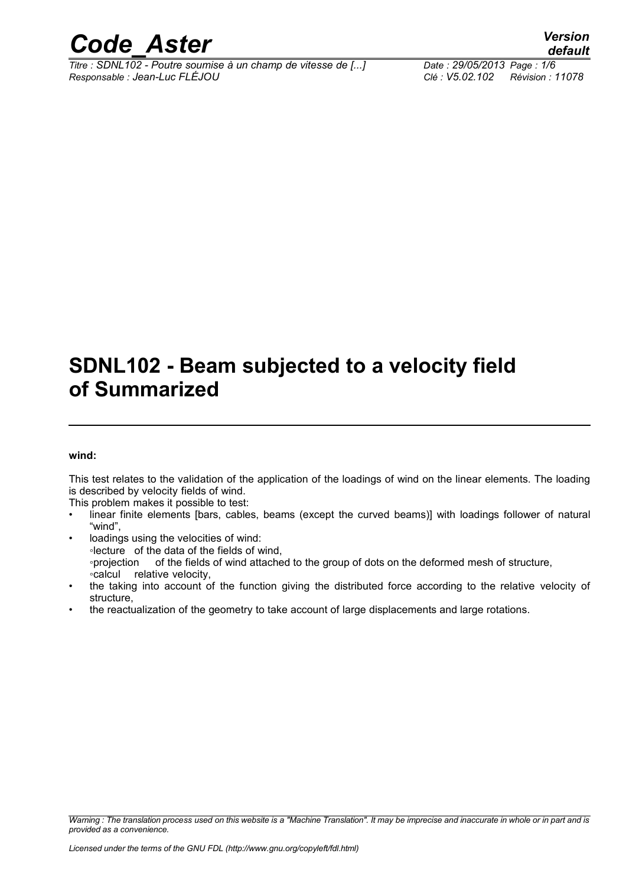

*Titre : SDNL102 - Poutre soumise à un champ de vitesse de [...] Date : 29/05/2013 Page : 1/6 Responsable : Jean-Luc FLÉJOU Clé : V5.02.102 Révision : 11078*

## **SDNL102 - Beam subjected to a velocity field of Summarized**

#### **wind:**

This test relates to the validation of the application of the loadings of wind on the linear elements. The loading is described by velocity fields of wind.

This problem makes it possible to test:

- linear finite elements [bars, cables, beams (except the curved beams)] with loadings follower of natural "wind",
- loadings using the velocities of wind: ◦lecture of the data of the fields of wind, ◦projection of the fields of wind attached to the group of dots on the deformed mesh of structure, ◦calcul relative velocity,
- the taking into account of the function giving the distributed force according to the relative velocity of structure,
- the reactualization of the geometry to take account of large displacements and large rotations.

*Warning : The translation process used on this website is a "Machine Translation". It may be imprecise and inaccurate in whole or in part and is provided as a convenience.*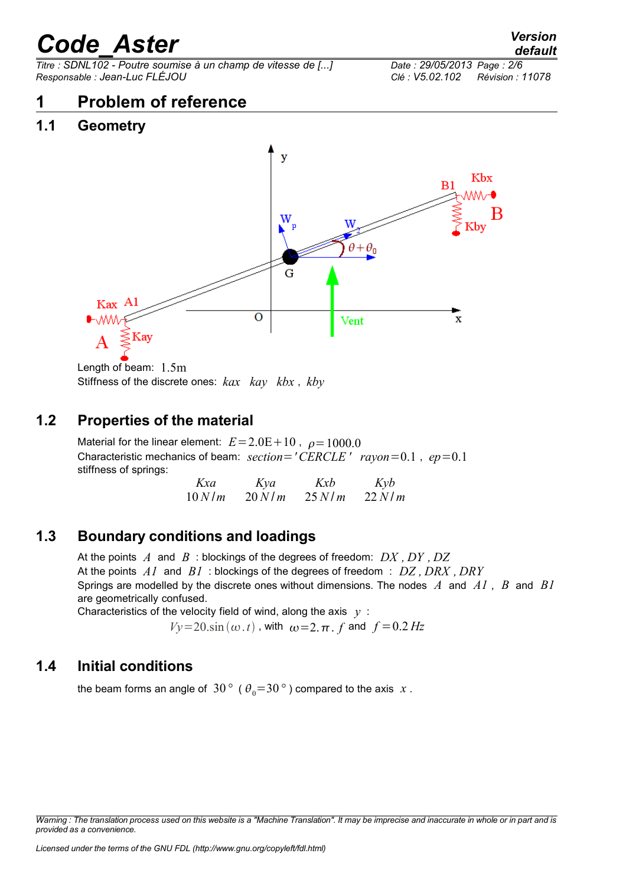*Titre : SDNL102 - Poutre soumise à un champ de vitesse de [...] Date : 29/05/2013 Page : 2/6 Responsable : Jean-Luc FLÉJOU Clé : V5.02.102 Révision : 11078*

## **1 Problem of reference**

#### **1.1 Geometry**



Length of beam: 1.5m Stiffness of the discrete ones: *kax kay kbx* , *kby*

#### **1.2 Properties of the material**

Material for the linear element:  $E = 2.0E + 10$ ,  $\rho = 1000.0$ Characteristic mechanics of beam: *section*=*'CERCLE ' rayon*=0.1 , *ep*=0.1 stiffness of springs:

| Kxa   | Kya        | Kxb      | Kyb        |
|-------|------------|----------|------------|
| 10N/m | $20$ N / m | $25$ N/m | $22$ N / m |

#### **1.3 Boundary conditions and loadings**

At the points *A* and *B* : blockings of the degrees of freedom: *DX , DY , DZ* At the points *A1* and *B1* : blockings of the degrees of freedom : *DZ , DRX , DRY* Springs are modelled by the discrete ones without dimensions. The nodes *A* and *A1* , *B* and *B1* are geometrically confused.

Characteristics of the velocity field of wind, along the axis *y* :

 $Vy=20 \sin(\omega t)$ , with  $\omega=2 \pi$ , *f* and  $f=0.2$  *Hz* 

#### **1.4 Initial conditions**

the beam forms an angle of 30<sup>°</sup> ( $\theta_0$ =30<sup>°</sup>) compared to the axis *x*.

*Warning : The translation process used on this website is a "Machine Translation". It may be imprecise and inaccurate in whole or in part and is provided as a convenience.*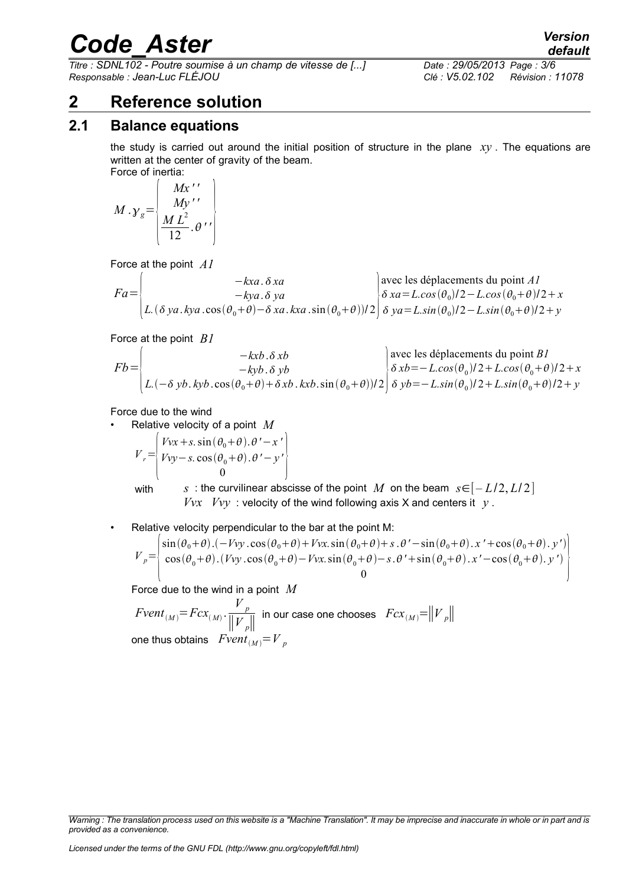*Titre : SDNL102 - Poutre soumise à un champ de vitesse de [...] Date : 29/05/2013 Page : 3/6 Responsable : Jean-Luc FLÉJOU Clé : V5.02.102 Révision : 11078*

## **2 Reference solution**

#### **2.1 Balance equations**

the study is carried out around the initial position of structure in the plane *xy* . The equations are written at the center of gravity of the beam. Force of inertia:

$$
M \cdot \gamma_g = \begin{bmatrix} Mx' \\ My' \\ My' \\ \frac{ML^2}{12} \cdot \theta' \end{bmatrix}
$$

Force at the point *A1*

$$
Fa = \begin{pmatrix}\n-kxa \cdot \delta xa \\
-kya \cdot \delta ya \\
L.(\delta ya.kya \cdot \cos(\theta_0 + \theta) - \delta xa.kxa \cdot \sin(\theta_0 + \theta)) / 2\n\end{pmatrix}\n\begin{cases}\n\text{avec les déplacements du point } AI \\
\delta xa = L. \cos(\theta_0) / 2 - L. \cos(\theta_0 + \theta) / 2 + x \\
\delta ya = L. \sin(\theta_0) / 2 - L. \sin(\theta_0 + \theta) / 2 + y\n\end{cases}
$$

Force at the point *B1*

$$
Fb = \begin{pmatrix} -kxb. \delta xb \\ -kyb. \delta yb \\ L.(-\delta yb. kyb. \cos(\theta_0 + \theta) + \delta xb. kxb. \sin(\theta_0 + \theta))/2 \end{pmatrix} \begin{cases} \text{avec les déplacements du point } B1 \\ \delta xb = -L \cos(\theta_0)/2 + L \cos(\theta_0 + \theta)/2 + x \\ \delta yb = -L \sin(\theta_0)/2 + L \sin(\theta_0 + \theta)/2 + y \end{cases}
$$

Force due to the wind

• Relative velocity of a point *M*

$$
V_r = \begin{pmatrix} Vvx + s. \sin(\theta_0 + \theta). \theta' - x' \\ Vvy - s. \cos(\theta_0 + \theta). \theta' - y' \\ 0 \end{pmatrix}
$$

with *s* : the curvilinear abscisse of the point *M* on the beam  $s \in [-L/2, L/2]$  $Vvx$  *Vvy* : velocity of the wind following axis X and centers it  $y$ .

• Relative velocity perpendicular to the bar at the point M:

$$
V_p = \begin{pmatrix} \sin(\theta_0 + \theta) \cdot (-Vvy \cdot \cos(\theta_0 + \theta) + Vvx \cdot \sin(\theta_0 + \theta) + s \cdot \theta' - \sin(\theta_0 + \theta) \cdot x' + \cos(\theta_0 + \theta) \cdot y') \\ \cos(\theta_0 + \theta) \cdot (Vvy \cdot \cos(\theta_0 + \theta) - Vvx \cdot \sin(\theta_0 + \theta) - s \cdot \theta' + \sin(\theta_0 + \theta) \cdot x' - \cos(\theta_0 + \theta) \cdot y') \\ 0 \end{pmatrix}
$$

Force due to the wind in a point *M*

 $Fvent_{(M)} = Fcx_{(M)} \cdot \frac{V_p}{\Vert V_p}$ ∥*V <sup>p</sup>*∥  $\textsf{in our case one chooses} \;\; Fcx_{(M)}{=}{\left\| {V}_{p} \right\|} \; .$ one thus obtains  $Fvent_{(M)} = V_p$ 

*Warning : The translation process used on this website is a "Machine Translation". It may be imprecise and inaccurate in whole or in part and is provided as a convenience.*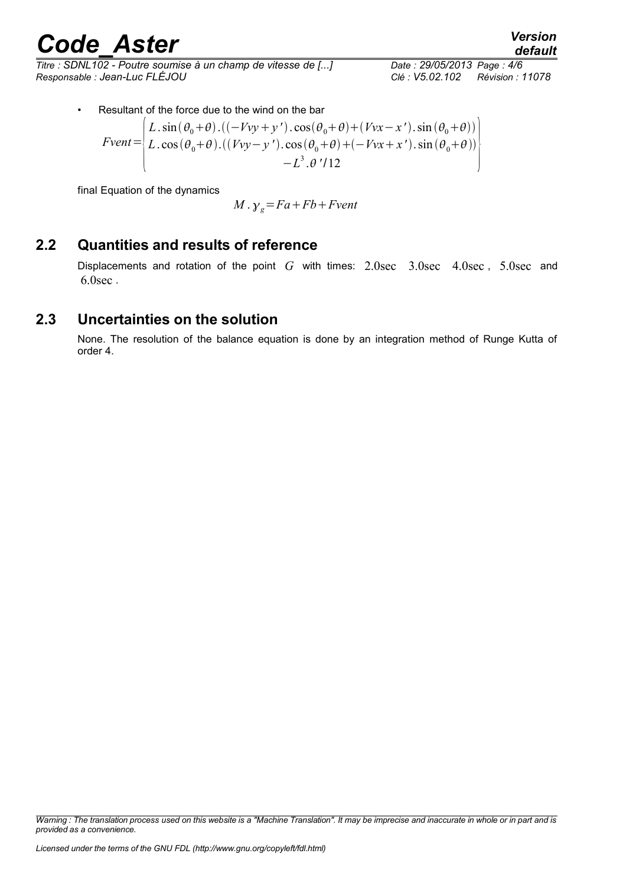*Titre : SDNL102 - Poutre soumise à un champ de vitesse de [...] Date : 29/05/2013 Page : 4/6 Responsable : Jean-Luc FLÉJOU Clé : V5.02.102 Révision : 11078*

 $\ddot{\phantom{0}}$ 

• Resultant of the force due to the wind on the bar

$$
Event = \begin{pmatrix} L \sin(\theta_0 + \theta) . ((-Vvy + y') \cdot \cos(\theta_0 + \theta) + (Vvx - x') \cdot \sin(\theta_0 + \theta)) \\ L \cdot \cos(\theta_0 + \theta) . ((Vvy - y') \cdot \cos(\theta_0 + \theta) + (-Vvx + x') \cdot \sin(\theta_0 + \theta)) \\ -L^3 . \theta' / 12 \end{pmatrix}
$$

final Equation of the dynamics

$$
M \cdot \gamma_g = Fa + Fb + Fvent
$$

#### **2.2 Quantities and results of reference**

Displacements and rotation of the point *G* with times: 2.0sec 3.0sec 4.0sec , 5.0sec and 6.0sec .

#### **2.3 Uncertainties on the solution**

None. The resolution of the balance equation is done by an integration method of Runge Kutta of order 4.

*Warning : The translation process used on this website is a "Machine Translation". It may be imprecise and inaccurate in whole or in part and is provided as a convenience.*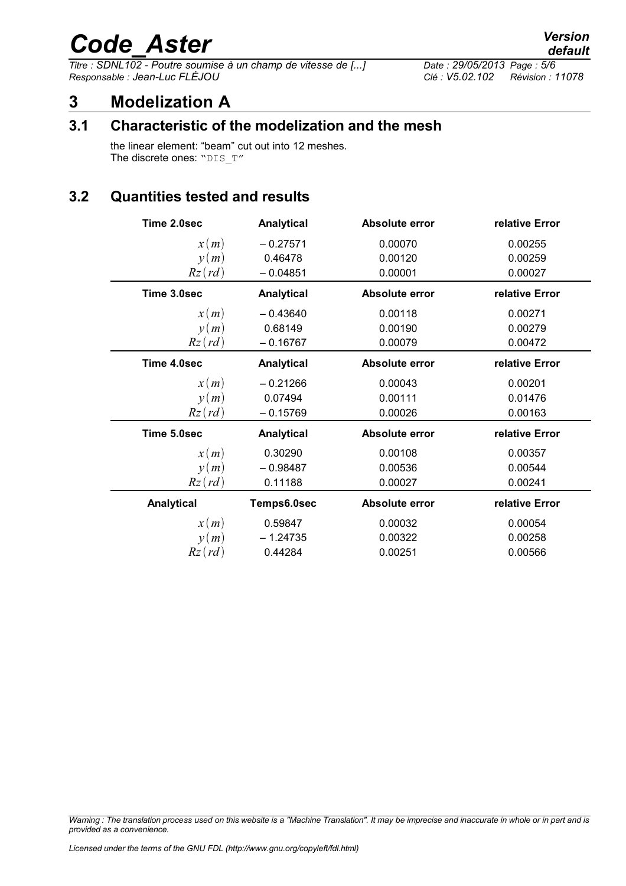# *Code\_Aster Version*<br>Titre : SDNL102 - Poutre soumise à un champ de vitesse de [...] Date : 29/05/2013 Page : 5/6

*Titre : SDNL102 - Poutre soumise à un champ de vitesse de [...] Date : 29/05/2013 Page : 5/6 Responsable : Jean-Luc FLÉJOU Clé : V5.02.102 Révision : 11078*

## **3 Modelization A**

#### **3.1 Characteristic of the modelization and the mesh**

the linear element: "beam" cut out into 12 meshes. The discrete ones: "DIS\_T"

#### **3.2 Quantities tested and results**

| Time 2.0sec | <b>Analytical</b> | Absolute error | relative Error |
|-------------|-------------------|----------------|----------------|
| x(m)        | $-0.27571$        | 0.00070        | 0.00255        |
| y(m)        | 0.46478           | 0.00120        | 0.00259        |
| $Rz$ (rd)   | $-0.04851$        | 0.00001        | 0.00027        |
| Time 3.0sec | <b>Analytical</b> | Absolute error | relative Error |
| x(m)        | $-0.43640$        | 0.00118        | 0.00271        |
| y(m)        | 0.68149           | 0.00190        | 0.00279        |
| $Rz$ (rd)   | $-0.16767$        | 0.00079        | 0.00472        |
| Time 4.0sec | <b>Analytical</b> | Absolute error | relative Error |
| x(m)        | $-0.21266$        | 0.00043        | 0.00201        |
| y(m)        | 0.07494           | 0.00111        | 0.01476        |
| $Rz$ (rd)   | $-0.15769$        | 0.00026        | 0.00163        |
| Time 5.0sec | <b>Analytical</b> | Absolute error | relative Error |
| x(m)        | 0.30290           | 0.00108        | 0.00357        |
| y(m)        | $-0.98487$        | 0.00536        | 0.00544        |
| $Rz$ (rd)   | 0.11188           | 0.00027        | 0.00241        |
| Analytical  | Temps6.0sec       | Absolute error | relative Error |
| x(m)        | 0.59847           | 0.00032        | 0.00054        |
| y(m)        | $-1.24735$        | 0.00322        | 0.00258        |
| $Rz$ (rd)   | 0.44284           | 0.00251        | 0.00566        |

*Warning : The translation process used on this website is a "Machine Translation". It may be imprecise and inaccurate in whole or in part and is provided as a convenience.*